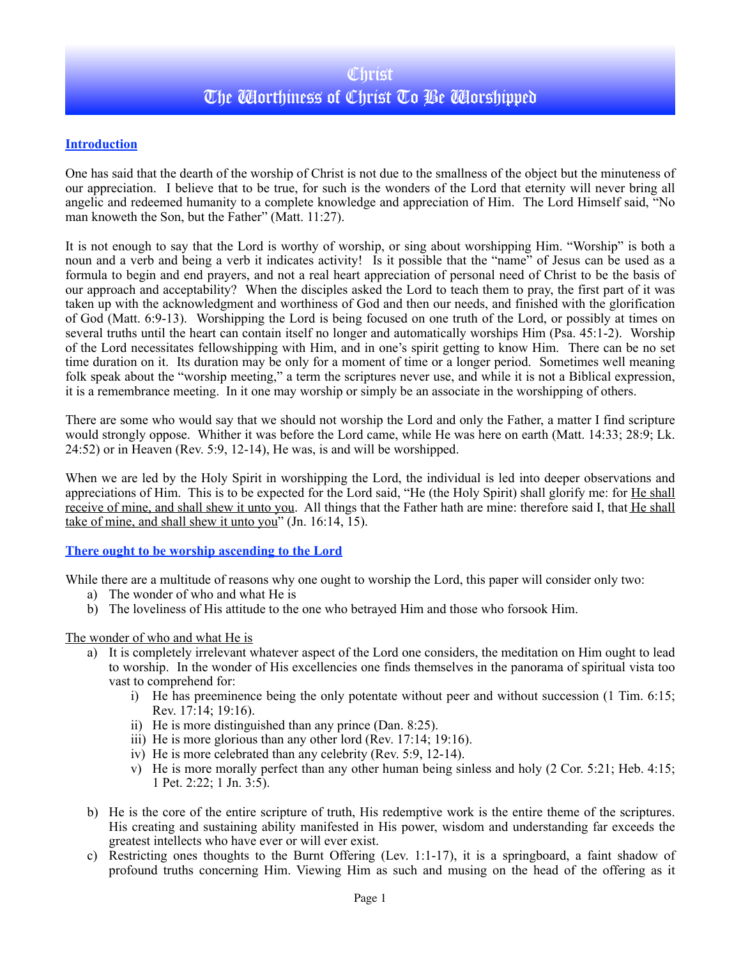# **Christ** The Worthiness of Christ To Be Worshipped

## **Introduction**

One has said that the dearth of the worship of Christ is not due to the smallness of the object but the minuteness of our appreciation. I believe that to be true, for such is the wonders of the Lord that eternity will never bring all angelic and redeemed humanity to a complete knowledge and appreciation of Him. The Lord Himself said, "No man knoweth the Son, but the Father" (Matt. 11:27).

It is not enough to say that the Lord is worthy of worship, or sing about worshipping Him. "Worship" is both a noun and a verb and being a verb it indicates activity! Is it possible that the "name" of Jesus can be used as a formula to begin and end prayers, and not a real heart appreciation of personal need of Christ to be the basis of our approach and acceptability? When the disciples asked the Lord to teach them to pray, the first part of it was taken up with the acknowledgment and worthiness of God and then our needs, and finished with the glorification of God (Matt. 6:9-13). Worshipping the Lord is being focused on one truth of the Lord, or possibly at times on several truths until the heart can contain itself no longer and automatically worships Him (Psa. 45:1-2). Worship of the Lord necessitates fellowshipping with Him, and in one's spirit getting to know Him. There can be no set time duration on it. Its duration may be only for a moment of time or a longer period. Sometimes well meaning folk speak about the "worship meeting," a term the scriptures never use, and while it is not a Biblical expression, it is a remembrance meeting. In it one may worship or simply be an associate in the worshipping of others.

There are some who would say that we should not worship the Lord and only the Father, a matter I find scripture would strongly oppose. Whither it was before the Lord came, while He was here on earth (Matt. 14:33; 28:9; Lk. 24:52) or in Heaven (Rev. 5:9, 12-14), He was, is and will be worshipped.

When we are led by the Holy Spirit in worshipping the Lord, the individual is led into deeper observations and appreciations of Him. This is to be expected for the Lord said, "He (the Holy Spirit) shall glorify me: for He shall receive of mine, and shall shew it unto you. All things that the Father hath are mine: therefore said I, that He shall take of mine, and shall shew it unto you" (Jn. 16:14, 15).

### **There ought to be worship ascending to the Lord**

While there are a multitude of reasons why one ought to worship the Lord, this paper will consider only two:

- a) The wonder of who and what He is
- b) The loveliness of His attitude to the one who betrayed Him and those who forsook Him.

#### The wonder of who and what He is

- a) It is completely irrelevant whatever aspect of the Lord one considers, the meditation on Him ought to lead to worship. In the wonder of His excellencies one finds themselves in the panorama of spiritual vista too vast to comprehend for:
	- i) He has preeminence being the only potentate without peer and without succession (1 Tim. 6:15; Rev. 17:14; 19:16).
	- ii) He is more distinguished than any prince (Dan. 8:25).
	- iii) He is more glorious than any other lord (Rev. 17:14; 19:16).
	- iv) He is more celebrated than any celebrity (Rev. 5:9, 12-14).
	- v) He is more morally perfect than any other human being sinless and holy (2 Cor. 5:21; Heb. 4:15; 1 Pet. 2:22; 1 Jn. 3:5).
- b) He is the core of the entire scripture of truth, His redemptive work is the entire theme of the scriptures. His creating and sustaining ability manifested in His power, wisdom and understanding far exceeds the greatest intellects who have ever or will ever exist.
- c) Restricting ones thoughts to the Burnt Offering (Lev. 1:1-17), it is a springboard, a faint shadow of profound truths concerning Him. Viewing Him as such and musing on the head of the offering as it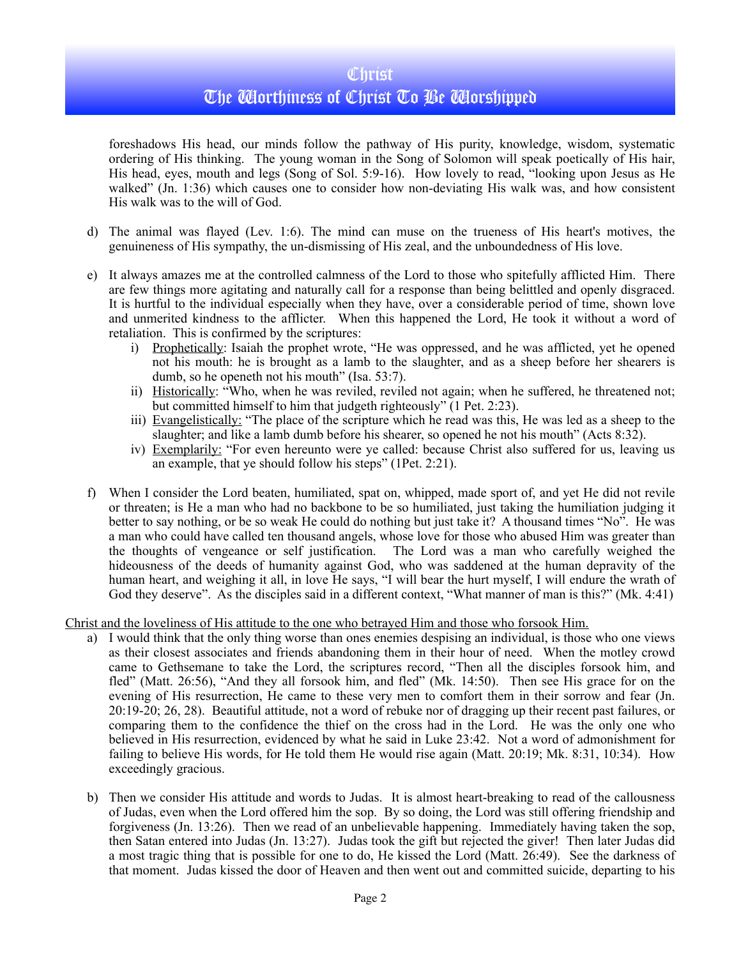## **Christ**

# The Worthiness of Christ To Be Worshipped

foreshadows His head, our minds follow the pathway of His purity, knowledge, wisdom, systematic ordering of His thinking. The young woman in the Song of Solomon will speak poetically of His hair, His head, eyes, mouth and legs (Song of Sol. 5:9-16). How lovely to read, "looking upon Jesus as He walked" (Jn. 1:36) which causes one to consider how non-deviating His walk was, and how consistent His walk was to the will of God.

- d) The animal was flayed (Lev. 1:6). The mind can muse on the trueness of His heart's motives, the genuineness of His sympathy, the un-dismissing of His zeal, and the unboundedness of His love.
- e) It always amazes me at the controlled calmness of the Lord to those who spitefully afflicted Him. There are few things more agitating and naturally call for a response than being belittled and openly disgraced. It is hurtful to the individual especially when they have, over a considerable period of time, shown love and unmerited kindness to the afflicter. When this happened the Lord, He took it without a word of retaliation. This is confirmed by the scriptures:
	- i) Prophetically: Isaiah the prophet wrote, "He was oppressed, and he was afflicted, yet he opened not his mouth: he is brought as a lamb to the slaughter, and as a sheep before her shearers is dumb, so he openeth not his mouth" (Isa. 53:7).
	- ii) Historically: "Who, when he was reviled, reviled not again; when he suffered, he threatened not; but committed himself to him that judgeth righteously" (1 Pet. 2:23).
	- iii) Evangelistically: "The place of the scripture which he read was this, He was led as a sheep to the slaughter; and like a lamb dumb before his shearer, so opened he not his mouth" (Acts 8:32).
	- iv) Exemplarily: "For even hereunto were ye called: because Christ also suffered for us, leaving us an example, that ye should follow his steps" (1Pet. 2:21).
- f) When I consider the Lord beaten, humiliated, spat on, whipped, made sport of, and yet He did not revile or threaten; is He a man who had no backbone to be so humiliated, just taking the humiliation judging it better to say nothing, or be so weak He could do nothing but just take it? A thousand times "No". He was a man who could have called ten thousand angels, whose love for those who abused Him was greater than the thoughts of vengeance or self justification. The Lord was a man who carefully weighed the hideousness of the deeds of humanity against God, who was saddened at the human depravity of the human heart, and weighing it all, in love He says, "I will bear the hurt myself, I will endure the wrath of God they deserve". As the disciples said in a different context, "What manner of man is this?" (Mk. 4:41)

Christ and the loveliness of His attitude to the one who betrayed Him and those who forsook Him.

- a) I would think that the only thing worse than ones enemies despising an individual, is those who one views as their closest associates and friends abandoning them in their hour of need. When the motley crowd came to Gethsemane to take the Lord, the scriptures record, "Then all the disciples forsook him, and fled" (Matt. 26:56), "And they all forsook him, and fled" (Mk. 14:50). Then see His grace for on the evening of His resurrection, He came to these very men to comfort them in their sorrow and fear (Jn. 20:19-20; 26, 28). Beautiful attitude, not a word of rebuke nor of dragging up their recent past failures, or comparing them to the confidence the thief on the cross had in the Lord. He was the only one who believed in His resurrection, evidenced by what he said in Luke 23:42. Not a word of admonishment for failing to believe His words, for He told them He would rise again (Matt. 20:19; Mk. 8:31, 10:34). How exceedingly gracious.
- b) Then we consider His attitude and words to Judas. It is almost heart-breaking to read of the callousness of Judas, even when the Lord offered him the sop. By so doing, the Lord was still offering friendship and forgiveness (Jn. 13:26). Then we read of an unbelievable happening. Immediately having taken the sop, then Satan entered into Judas (Jn. 13:27). Judas took the gift but rejected the giver! Then later Judas did a most tragic thing that is possible for one to do, He kissed the Lord (Matt. 26:49). See the darkness of that moment. Judas kissed the door of Heaven and then went out and committed suicide, departing to his